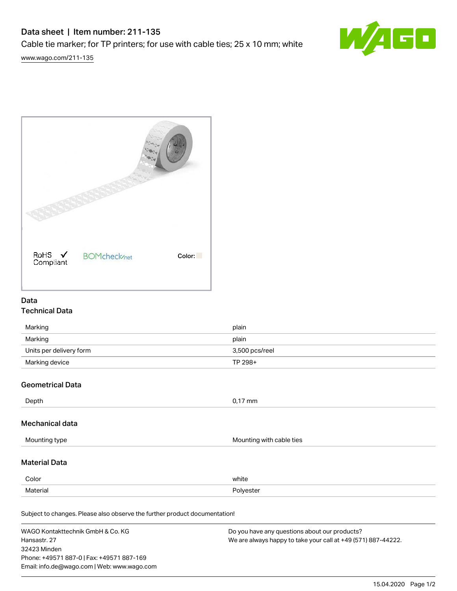# Data sheet | Item number: 211-135 Cable tie marker; for TP printers; for use with cable ties; 25 x 10 mm; white



[www.wago.com/211-135](http://www.wago.com/211-135)



# Data

# Technical Data

| Marking                 | plain          |
|-------------------------|----------------|
| Marking                 | plain          |
| Units per delivery form | 3,500 pcs/reel |
| Marking device          | TP 298+        |

### Geometrical Data

| Depth | 0,17 mm |
|-------|---------|
|       |         |

# Mechanical data

| Mounting type | Mounting with cable ties |
|---------------|--------------------------|
|               |                          |

# Material Data

| Color    | white     |
|----------|-----------|
| Material | Polvester |

Subject to changes. Please also observe the further product documentation! Halogen-free Yes

| WAGO Kontakttechnik GmbH & Co. KG           | Do you have any questions about our products?                 |
|---------------------------------------------|---------------------------------------------------------------|
| Hansastr. 27                                | We are always happy to take your call at +49 (571) 887-44222. |
| 32423 Minden                                |                                                               |
| Phone: +49571 887-0   Fax: +49571 887-169   |                                                               |
| Email: info.de@wago.com   Web: www.wago.com |                                                               |